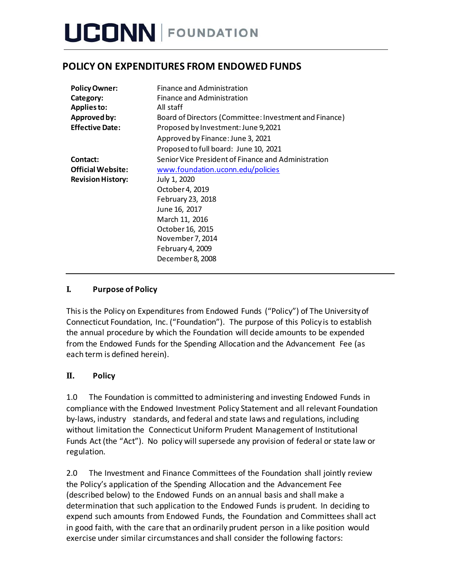## **POLICY ON EXPENDITURES FROM ENDOWED FUNDS**

| <b>Policy Owner:</b><br>Category:<br>Applies to: | Finance and Administration<br>Finance and Administration<br>All staff |
|--------------------------------------------------|-----------------------------------------------------------------------|
| Approved by:                                     | Board of Directors (Committee: Investment and Finance)                |
| <b>Effective Date:</b>                           | Proposed by Investment: June 9,2021                                   |
|                                                  | Approved by Finance: June 3, 2021                                     |
|                                                  | Proposed to full board: June 10, 2021                                 |
| Contact:                                         | Senior Vice President of Finance and Administration                   |
| <b>Official Website:</b>                         | www.foundation.uconn.edu/policies                                     |
| <b>Revision History:</b>                         | July 1, 2020                                                          |
|                                                  | October 4, 2019                                                       |
|                                                  | February 23, 2018                                                     |
|                                                  | June 16, 2017                                                         |
|                                                  | March 11, 2016                                                        |
|                                                  | October 16, 2015                                                      |
|                                                  | November 7, 2014                                                      |
|                                                  | February 4, 2009                                                      |
|                                                  | December 8, 2008                                                      |

### **I. Purpose of Policy**

Thisis the Policy on Expenditures from Endowed Funds ("Policy") of The Universityof Connecticut Foundation, Inc. ("Foundation"). The purpose of this Policy is to establish the annual procedure by which the Foundation will decide amounts to be expended from the Endowed Funds for the Spending Allocation and the Advancement Fee (as each term is defined herein).

### **II. Policy**

1.0 The Foundation is committed to administering and investing Endowed Funds in compliance with the Endowed Investment Policy Statement and all relevant Foundation by-laws, industry standards, and federal and state laws and regulations, including without limitation the Connecticut Uniform Prudent Management of Institutional Funds Act (the "Act"). No policy will supersede any provision of federal or state law or regulation.

2.0 The Investment and Finance Committees of the Foundation shall jointly review the Policy's application of the Spending Allocation and the Advancement Fee (described below) to the Endowed Funds on an annual basis and shall make a determination that such application to the Endowed Funds is prudent. In deciding to expend such amounts from Endowed Funds, the Foundation and Committees shall act in good faith, with the care that an ordinarily prudent person in a like position would exercise under similar circumstances and shall consider the following factors: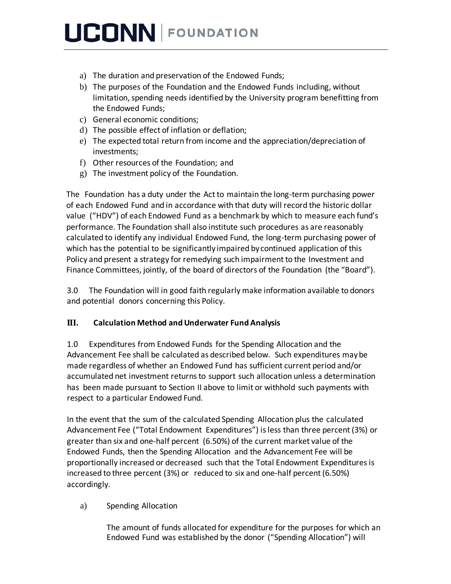- a) The duration and preservation of the Endowed Funds;
- b) The purposes of the Foundation and the Endowed Funds including, without limitation, spending needs identified by the University program benefitting from the Endowed Funds;
- c) General economic conditions;
- d) The possible effect of inflation or deflation;
- e) The expected total return from income and the appreciation/depreciation of investments;
- f) Other resources of the Foundation; and
- g) The investment policy of the Foundation.

The Foundation has a duty under the Act to maintain the long-term purchasing power of each Endowed Fund and in accordance with that duty will record the historic dollar value ("HDV") of each Endowed Fund as a benchmark by which to measure each fund's performance. The Foundation shall also institute such procedures as are reasonably calculated to identify any individual Endowed Fund, the long-term purchasing power of which hasthe potential to be significantly impaired bycontinued application of this Policy and present a strategy for remedying such impairment to the Investment and Finance Committees, jointly, of the board of directors of the Foundation (the "Board").

3.0 The Foundation will in good faith regularly make information available to donors and potential donors concerning this Policy.

### **III. Calculation Method and Underwater Fund Analysis**

1.0 Expenditures from Endowed Funds for the Spending Allocation and the Advancement Fee shall be calculated as described below. Such expenditures maybe made regardless of whether an Endowed Fund has sufficient current period and/or accumulated net investment returns to support such allocation unless a determination has been made pursuant to Section II above to limit or withhold such payments with respect to a particular Endowed Fund.

In the event that the sum of the calculated Spending Allocation plus the calculated Advancement Fee ("Total Endowment Expenditures") isless than three percent (3%) or greater than six and one-half percent (6.50%) of the current market value of the Endowed Funds, then the Spending Allocation and the Advancement Fee will be proportionally increased or decreased such that the Total Endowment Expendituresis increased to three percent (3%) or reduced to six and one-half percent (6.50%) accordingly.

a) Spending Allocation

The amount of funds allocated for expenditure for the purposes for which an Endowed Fund was established by the donor ("Spending Allocation") will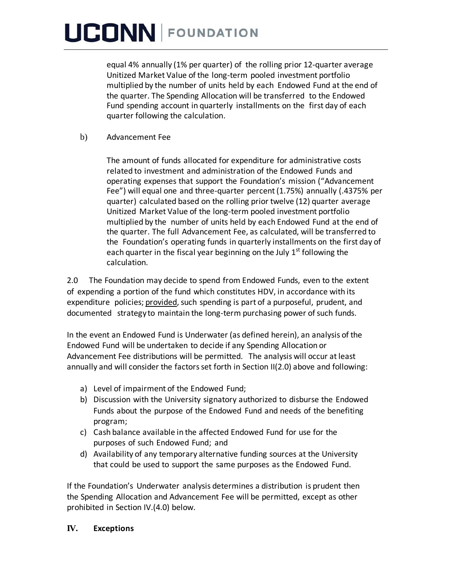equal 4% annually (1% per quarter) of the rolling prior 12-quarter average Unitized Market Value of the long-term pooled investment portfolio multiplied by the number of units held by each Endowed Fund at the end of the quarter. The Spending Allocation will be transferred to the Endowed Fund spending account in quarterly installments on the first day of each quarter following the calculation.

#### b) Advancement Fee

The amount of funds allocated for expenditure for administrative costs related to investment and administration of the Endowed Funds and operating expenses that support the Foundation's mission ("Advancement Fee") will equal one and three-quarter percent (1.75%) annually (.4375% per quarter) calculated based on the rolling prior twelve (12) quarter average Unitized Market Value of the long-term pooled investment portfolio multiplied by the number of units held by each Endowed Fund at the end of the quarter. The full Advancement Fee, as calculated, will be transferred to the Foundation's operating funds in quarterly installments on the first day of each quarter in the fiscal year beginning on the July 1<sup>st</sup> following the calculation.

2.0 The Foundation may decide to spend from Endowed Funds, even to the extent of expending a portion of the fund which constitutes HDV, in accordance with its expenditure policies; provided, such spending is part of a purposeful, prudent, and documented strategy to maintain the long-term purchasing power of such funds.

In the event an Endowed Fund is Underwater (as defined herein), an analysis of the Endowed Fund will be undertaken to decide if any Spending Allocation or Advancement Fee distributions will be permitted. The analysis will occur at least annually and will consider the factors set forth in Section II(2.0) above and following:

- a) Level of impairment of the Endowed Fund;
- b) Discussion with the University signatory authorized to disburse the Endowed Funds about the purpose of the Endowed Fund and needs of the benefiting program;
- c) Cash balance available in the affected Endowed Fund for use for the purposes of such Endowed Fund; and
- d) Availability of any temporary alternative funding sources at the University that could be used to support the same purposes as the Endowed Fund.

If the Foundation's Underwater analysis determines a distribution is prudent then the Spending Allocation and Advancement Fee will be permitted, except as other prohibited in Section IV.(4.0) below.

### **IV. Exceptions**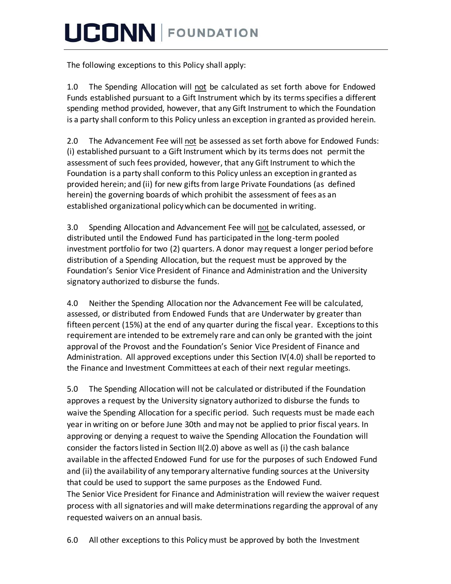The following exceptions to this Policy shall apply:

1.0 The Spending Allocation will not be calculated as set forth above for Endowed Funds established pursuant to a Gift Instrument which by its termsspecifies a different spending method provided, however, that any Gift Instrument to which the Foundation is a party shall conform to this Policy unless an exception in granted as provided herein.

2.0 The Advancement Fee will not be assessed asset forth above for Endowed Funds: (i) established pursuant to a Gift Instrument which by its terms does not permit the assessment of such fees provided, however, that any Gift Instrument to which the Foundation is a party shall conform to this Policy unless an exception in granted as provided herein; and (ii) for new giftsfrom large Private Foundations (as defined herein) the governing boards of which prohibit the assessment of fees as an established organizational policywhich can be documented in writing.

3.0 Spending Allocation and Advancement Fee will not be calculated, assessed, or distributed until the Endowed Fund has participated in the long-term pooled investment portfolio for two (2) quarters. A donor may request a longer period before distribution of a Spending Allocation, but the request must be approved by the Foundation's Senior Vice President of Finance and Administration and the University signatory authorized to disburse the funds.

4.0 Neither the Spending Allocation nor the Advancement Fee will be calculated, assessed, or distributed from Endowed Funds that are Underwater by greater than fifteen percent (15%) at the end of any quarter during the fiscal year. Exceptions to this requirement are intended to be extremely rare and can only be granted with the joint approval of the Provost and the Foundation's Senior Vice President of Finance and Administration. All approved exceptions under this Section IV(4.0) shall be reported to the Finance and Investment Committees at each of their next regular meetings.

5.0 The Spending Allocation will not be calculated or distributed if the Foundation approves a request by the University signatory authorized to disburse the funds to waive the Spending Allocation for a specific period. Such requests must be made each year in writing on or before June 30th and may not be applied to prior fiscal years. In approving or denying a request to waive the Spending Allocation the Foundation will consider the factors listed in Section II(2.0) above as well as (i) the cash balance available in the affected Endowed Fund for use for the purposes of such Endowed Fund and (ii) the availability of any temporary alternative funding sources at the University that could be used to support the same purposes as the Endowed Fund. The Senior Vice President for Finance and Administration will review the waiver request process with all signatories and will make determinationsregarding the approval of any requested waivers on an annual basis.

6.0 All other exceptions to this Policy must be approved by both the Investment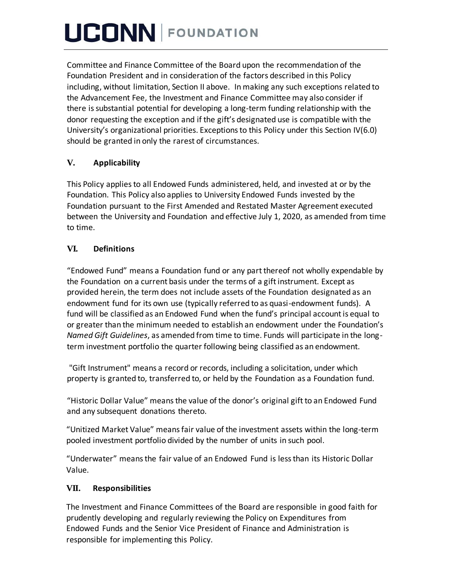Committee and Finance Committee of the Board upon the recommendation of the Foundation President and in consideration of the factors described in this Policy including, without limitation, Section II above. In making any such exceptions related to the Advancement Fee, the Investment and Finance Committee may also consider if there issubstantial potential for developing a long-term funding relationship with the donor requesting the exception and if the gift's designated use is compatible with the University's organizational priorities. Exceptions to this Policy under this Section IV(6.0) should be granted in only the rarest of circumstances.

### **V. Applicability**

This Policy appliesto all Endowed Funds administered, held, and invested at or by the Foundation. This Policy also applies to University Endowed Funds invested by the Foundation pursuant to the First Amended and Restated Master Agreement executed between the University and Foundation and effective July 1, 2020, as amended from time to time.

## **VI. Definitions**

"Endowed Fund" means a Foundation fund or any part thereof not wholly expendable by the Foundation on a current basis under the terms of a gift instrument. Except as provided herein, the term does not include assets of the Foundation designated as an endowment fund for its own use (typically referred to as quasi-endowment funds). A fund will be classified as an Endowed Fund when the fund's principal account is equal to or greater than the minimum needed to establish an endowment under the Foundation's *Named Gift Guidelines*, as amended from time to time. Funds will participate in the longterm investment portfolio the quarter following being classified as an endowment.

"Gift Instrument" means a record or records, including a solicitation, under which property is granted to, transferred to, or held by the Foundation as a Foundation fund.

"Historic Dollar Value" meansthe value of the donor's original gift to an Endowed Fund and any subsequent donations thereto.

"Unitized Market Value" meansfair value of the investment assets within the long-term pooled investment portfolio divided by the number of units in such pool.

"Underwater" means the fair value of an Endowed Fund is less than its Historic Dollar Value.

### **VII. Responsibilities**

The Investment and Finance Committees of the Board are responsible in good faith for prudently developing and regularly reviewing the Policy on Expenditures from Endowed Funds and the Senior Vice President of Finance and Administration is responsible for implementing this Policy.